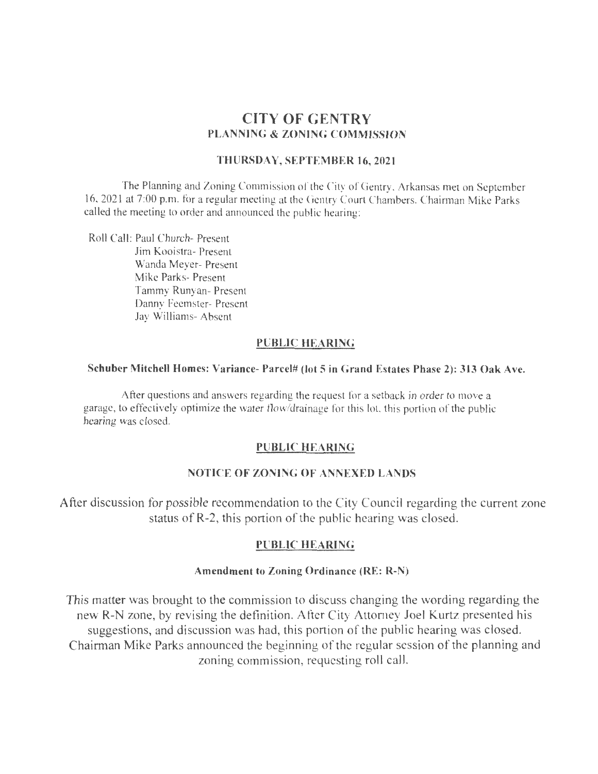# **CITY OF GENTRY PLANNING & ZONING COMMISSION**

## **THURSDAY, SEPTEMBER 16,2021**

The Planning and Zoning Commission of the City of Gentry, Arkansas met on September 16, 2021 at 7:00 p.m. for a regular meeting at the Gentry Court Chambers. Chairman Mike Parks called the meeting to order and announced the public hearing:

Roll Call: Paul Church- Present Jim Kooistra- Present Wanda Meyer- Present Mike Parks- Present Tammy Runyan- Present Danny feemster- Present Jay Williams- Absent

# **PUBLIC HEARING**

#### **Schuber Mitchell Homes: Variance- Parcel# (lot 5 in Grand Estates Phase 2): 313 Oak Ave.**

After questions and answers regarding the request for a setback in order to move a garage, to effectively optimize the water flow/drainage for this lot, this portion of the public hearing was closed.

### **PUBLIC HEARING**

## **NOTICE OF ZONING OF ANNEXED LANDS**

After discussion for possible recommendation to the City Council regarding the current zone status of R-2, this portion of the public hearing was closed.

## **PUBLIC HEARING**

## **Amendment to Zoning Ordinance (RE: R-N)**

This matter was brought to the commission to discuss changing the wording regarding the new R-N zone, by revising the definition. After City Attorney Joel Kurtz presented his suggestions, and discussion was had, this portion of the public hearing was closed. Chairman Mike Parks announced the beginning of the regular session of the planning and zoning commission, requesting roll call.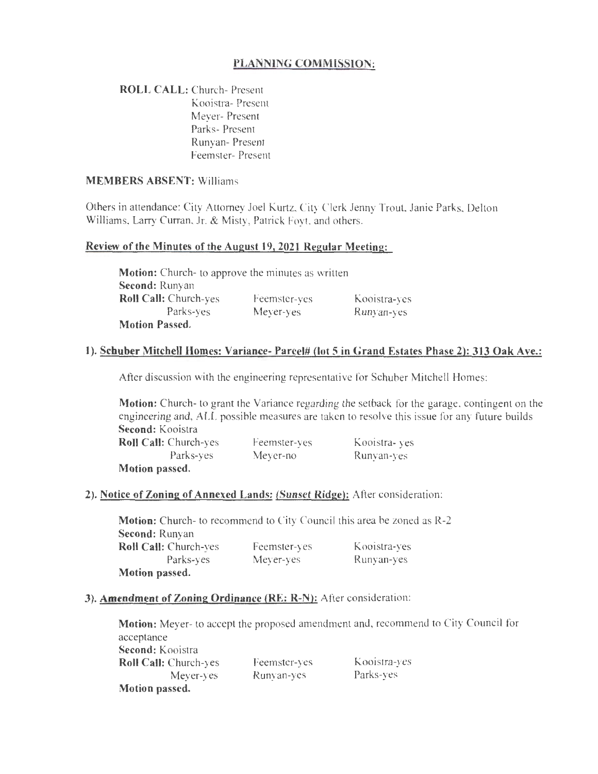# **PLANNING COMMISSION:**

**ROLL CALL:** Church- Present Kooistra- Present Meyer- Present Parks- Present Runyan- Present Feemster- Present

## **MEMBERS ABSENT: Williams**

Others in attendance: City Attorney Joel Kurtz, City Clerk Jenny Trout, Janie Parks. Delton Williams, Larry Curran, Jr. & Misty, Patrick Foyt. and others.

### **Review of the Minutes of the August 19, 2021 Regular Meeting:**

**Motion:** Church- to approve the minutes as written **Second:** Runyan **Roll Call:** Church-yes Parks-yes **Motion Passed.**  Feemster-yes Meyer-yes Kooistra-yes Runyan-yes

# **1). Schuber Mitchell Homes: Variance- Parcel# (lot 5 in Grand Estates Phase 2): 313 Oak Ave.:**

After discussion with the engineering representative for Schuber Mitchell Homes:

**Motion:** Church- to grant the Variance regarding the setback for the garage. contingent on the engineering and, ALL possible measures are taken to resolve this issue for any future builds **Second:** Kooistra

| <b>Roll Call:</b> Church-yes | Feemster-yes | Kooistra-yes |
|------------------------------|--------------|--------------|
| Parks-yes                    | Meyer-no     | Runyan-yes   |
| Motion passed.               |              |              |

### **2). Notice of Zoning of Annexed Lands: (Sunset Ridge):** After consideration:

**Motion:** Church- to recommend to City Council this area be zoned as R-2 **Second:** Runyan **Roll Call:** Church-yes Parks-yes **Motion passed.**  feemster-yes Meyer-yes Kooistra-yes Runyan-yes

### **3). Amendment of Zoning Ordinance (RE: R-N):** After consideration:

**Motion:** Meyer- to accept the proposed amendment and, recommend to City Council for acceptance **Second:** Kooistra **Roll Call:** Church-yes Meyer-yes **Motion passed.**  Feemster-yes Runyan-yes Kooistra-yes Parks-yes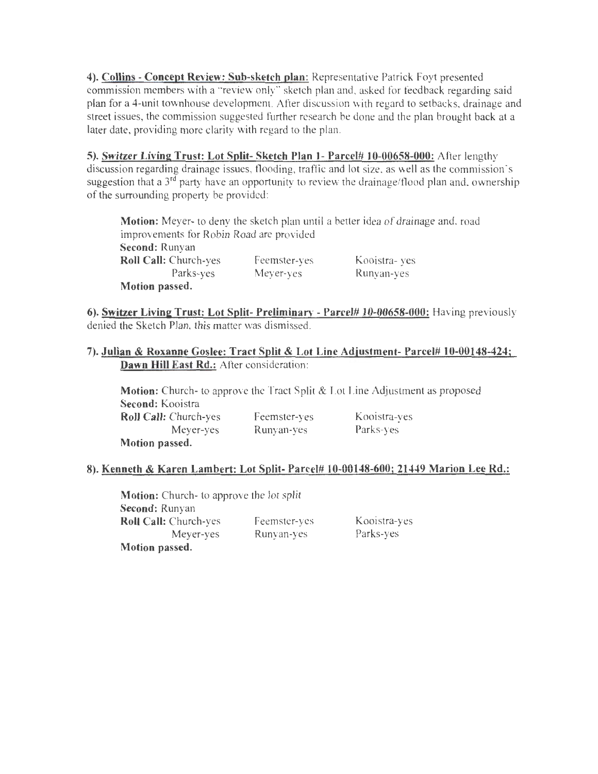**4). Collins- Concept Review: Sub-sketch plan:** Representative Patrick Foyt presented commission members with a "review only" sketch plan and, asked for feedback regarding said plan for a 4-unit townhouse development. After discussion with regard to setbacks, drainage and street issues, the commission suggested further research be done and the plan brought back at a later date, providing more clarity with regard to the plan.

**5). Switzer Living Trust: Lot Split- Sketch Plan J- Parcel# J 0-00658-000:** Atler lengthy discussion regarding drainage issues, flooding, traffic and lot size, as well as the commission's suggestion that a  $3^{rd}$  party have an opportunity to review the drainage/flood plan and, ownership of the surrounding property be provided:

**Motion:** Meyer- to deny the sketch plan until a better idea of drainage and, road improvements for Robin Road are provided **Second:** Runyan **Roll Call:** Church-yes Parks-yes **Motion passed.**  Feemster-yes Meyer-yes Kooistra- yes Runyan-yes

**6). Switzer Living Trust: Lot Split- Preliminary - Parcel# 10-00658-000:** Having previously denied the Sketch Plan, this matter was dismissed.

# **7). Julian & Roxanne Goslee: Tract Split & Lot Line Adjustment- Parcel# 10-00148-424; Dawn Hill East Rd.:** After consideration:

**Motion:** Church- to approve the Tract Split & Lot Line Adjustment as proposed **Second:** Kooistra **Roll Call:** Church-yes Meyer-yes **Motion passed.**  Feemster-yes Runyan-yes Kooistra-yes Parks-yes

# **8). Kenneth & Karen Lambert: Lot Split- Parcel# 10-00148-600; 21449 Marion Lee Rd.:**

**Motion:** Church- to approve the lot split **Second:** Runyan **Roll Call:** Church-yes Meyer-yes **Motion passed.**  Feemster-yes Runyan-yes

Kooistra-yes Parks-yes